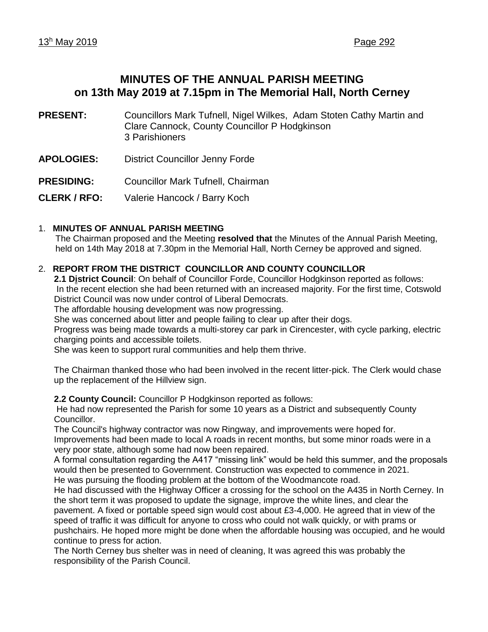# **MINUTES OF THE ANNUAL PARISH MEETING on 13th May 2019 at 7.15pm in The Memorial Hall, North Cerney**

- **PRESENT:** Councillors Mark Tufnell, Nigel Wilkes, Adam Stoten Cathy Martin and Clare Cannock, County Councillor P Hodgkinson 3 Parishioners
- **APOLOGIES:** District Councillor Jenny Forde

**PRESIDING:** Councillor Mark Tufnell, Chairman

**CLERK / RFO:** Valerie Hancock / Barry Koch

# 1. **MINUTES OF ANNUAL PARISH MEETING**

The Chairman proposed and the Meeting **resolved that** the Minutes of the Annual Parish Meeting, held on 14th May 2018 at 7.30pm in the Memorial Hall, North Cerney be approved and signed.

# 2. **REPORT FROM THE DISTRICT COUNCILLOR AND COUNTY COUNCILLOR**

**2.1 District Council**: On behalf of Councillor Forde, Councillor Hodgkinson reported as follows: In the recent election she had been returned with an increased majority. For the first time, Cotswold District Council was now under control of Liberal Democrats.

The affordable housing development was now progressing.

She was concerned about litter and people failing to clear up after their dogs.

Progress was being made towards a multi-storey car park in Cirencester, with cycle parking, electric charging points and accessible toilets.

She was keen to support rural communities and help them thrive.

The Chairman thanked those who had been involved in the recent litter-pick. The Clerk would chase up the replacement of the Hillview sign.

**2.2 County Council:** Councillor P Hodgkinson reported as follows:

He had now represented the Parish for some 10 years as a District and subsequently County Councillor.

The Council's highway contractor was now Ringway, and improvements were hoped for. Improvements had been made to local A roads in recent months, but some minor roads were in a very poor state, although some had now been repaired.

A formal consultation regarding the A417 "missing link" would be held this summer, and the proposals would then be presented to Government. Construction was expected to commence in 2021. He was pursuing the flooding problem at the bottom of the Woodmancote road.

He had discussed with the Highway Officer a crossing for the school on the A435 in North Cerney. In the short term it was proposed to update the signage, improve the white lines, and clear the pavement. A fixed or portable speed sign would cost about £3-4,000. He agreed that in view of the speed of traffic it was difficult for anyone to cross who could not walk quickly, or with prams or pushchairs. He hoped more might be done when the affordable housing was occupied, and he would continue to press for action.

The North Cerney bus shelter was in need of cleaning, It was agreed this was probably the responsibility of the Parish Council.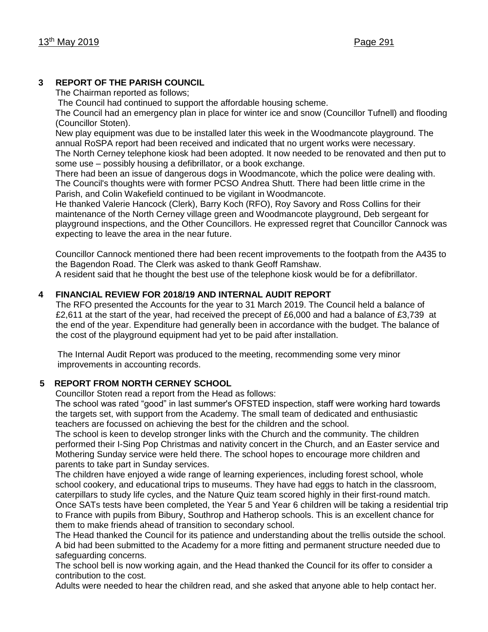# **3 REPORT OF THE PARISH COUNCIL**

The Chairman reported as follows;

The Council had continued to support the affordable housing scheme.

The Council had an emergency plan in place for winter ice and snow (Councillor Tufnell) and flooding (Councillor Stoten).

New play equipment was due to be installed later this week in the Woodmancote playground. The annual RoSPA report had been received and indicated that no urgent works were necessary. The North Cerney telephone kiosk had been adopted. It now needed to be renovated and then put to some use – possibly housing a defibrillator, or a book exchange.

There had been an issue of dangerous dogs in Woodmancote, which the police were dealing with. The Council's thoughts were with former PCSO Andrea Shutt. There had been little crime in the Parish, and Colin Wakefield continued to be vigilant in Woodmancote.

He thanked Valerie Hancock (Clerk), Barry Koch (RFO), Roy Savory and Ross Collins for their maintenance of the North Cerney village green and Woodmancote playground, Deb sergeant for playground inspections, and the Other Councillors. He expressed regret that Councillor Cannock was expecting to leave the area in the near future.

Councillor Cannock mentioned there had been recent improvements to the footpath from the A435 to the Bagendon Road. The Clerk was asked to thank Geoff Ramshaw.

A resident said that he thought the best use of the telephone kiosk would be for a defibrillator.

# **4 FINANCIAL REVIEW FOR 2018/19 AND INTERNAL AUDIT REPORT**

The RFO presented the Accounts for the year to 31 March 2019. The Council held a balance of £2,611 at the start of the year, had received the precept of £6,000 and had a balance of £3,739 at the end of the year. Expenditure had generally been in accordance with the budget. The balance of the cost of the playground equipment had yet to be paid after installation.

The Internal Audit Report was produced to the meeting, recommending some very minor improvements in accounting records.

# **5 REPORT FROM NORTH CERNEY SCHOOL**

Councillor Stoten read a report from the Head as follows:

The school was rated "good" in last summer's OFSTED inspection, staff were working hard towards the targets set, with support from the Academy. The small team of dedicated and enthusiastic teachers are focussed on achieving the best for the children and the school.

The school is keen to develop stronger links with the Church and the community. The children performed their I-Sing Pop Christmas and nativity concert in the Church, and an Easter service and Mothering Sunday service were held there. The school hopes to encourage more children and parents to take part in Sunday services.

The children have enjoyed a wide range of learning experiences, including forest school, whole school cookery, and educational trips to museums. They have had eggs to hatch in the classroom, caterpillars to study life cycles, and the Nature Quiz team scored highly in their first-round match. Once SATs tests have been completed, the Year 5 and Year 6 children will be taking a residential trip to France with pupils from Bibury, Southrop and Hatherop schools. This is an excellent chance for them to make friends ahead of transition to secondary school.

The Head thanked the Council for its patience and understanding about the trellis outside the school. A bid had been submitted to the Academy for a more fitting and permanent structure needed due to safeguarding concerns.

The school bell is now working again, and the Head thanked the Council for its offer to consider a contribution to the cost.

Adults were needed to hear the children read, and she asked that anyone able to help contact her.